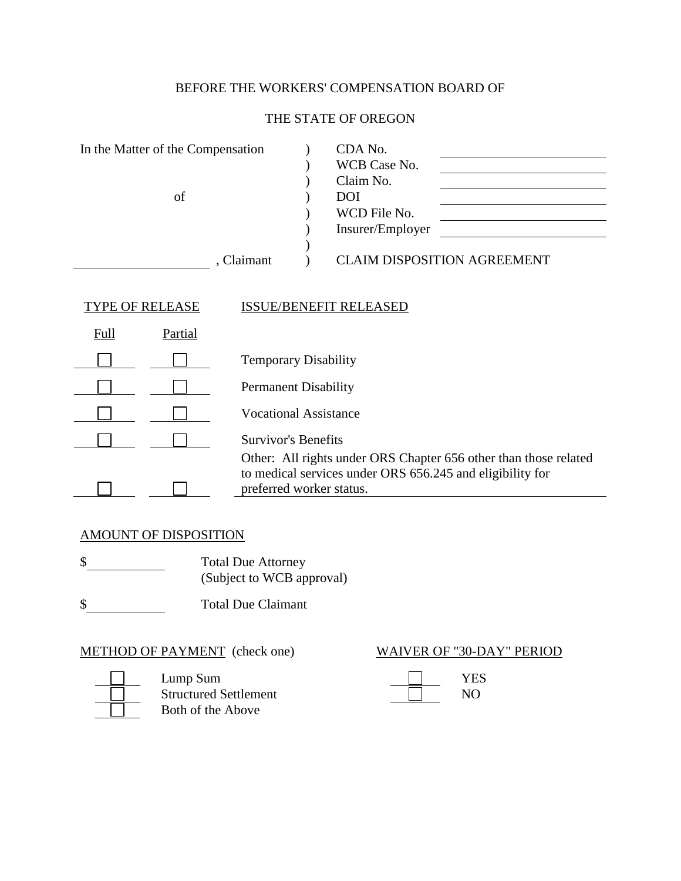# BEFORE THE WORKERS' COMPENSATION BOARD OF

## THE STATE OF OREGON

| In the Matter of the Compensation |            | CDA No.                            |
|-----------------------------------|------------|------------------------------------|
|                                   |            | WCB Case No.                       |
|                                   |            | Claim No.                          |
| of                                |            | <b>DOI</b>                         |
|                                   |            | WCD File No.                       |
|                                   |            | Insurer/Employer                   |
|                                   |            |                                    |
|                                   | , Claimant | <b>CLAIM DISPOSITION AGREEMENT</b> |
|                                   |            |                                    |
|                                   |            |                                    |
| <b>TYPE OF RELEASE</b>            |            | <b>ISSUE/BENEFIT RELEASED</b>      |
| Ev. 11<br>D <sub>ortiol</sub>     |            |                                    |

| Full | Partial |                                                                                                                                                           |
|------|---------|-----------------------------------------------------------------------------------------------------------------------------------------------------------|
|      |         | <b>Temporary Disability</b>                                                                                                                               |
|      |         | <b>Permanent Disability</b>                                                                                                                               |
|      |         | <b>Vocational Assistance</b>                                                                                                                              |
|      |         | <b>Survivor's Benefits</b>                                                                                                                                |
|      |         | Other: All rights under ORS Chapter 656 other than those related<br>to medical services under ORS 656.245 and eligibility for<br>preferred worker status. |

## AMOUNT OF DISPOSITION

\$ Total Due Attorney (Subject to WCB approval)

\$ Total Due Claimant

METHOD OF PAYMENT (check one) WAIVER OF "30-DAY" PERIOD



Lump Sum The Test of the Sum Test of the Sum Test of the Sum Test of the Sum Test of the Sum Test of the Sum Test of the Sum Test of the Sum Test of the Sum Test of the Sum Test of the Sum Test of the Sum Test of the Sum T Structured Settlement Both of the Above

| <b>YES</b> |
|------------|
| NO)        |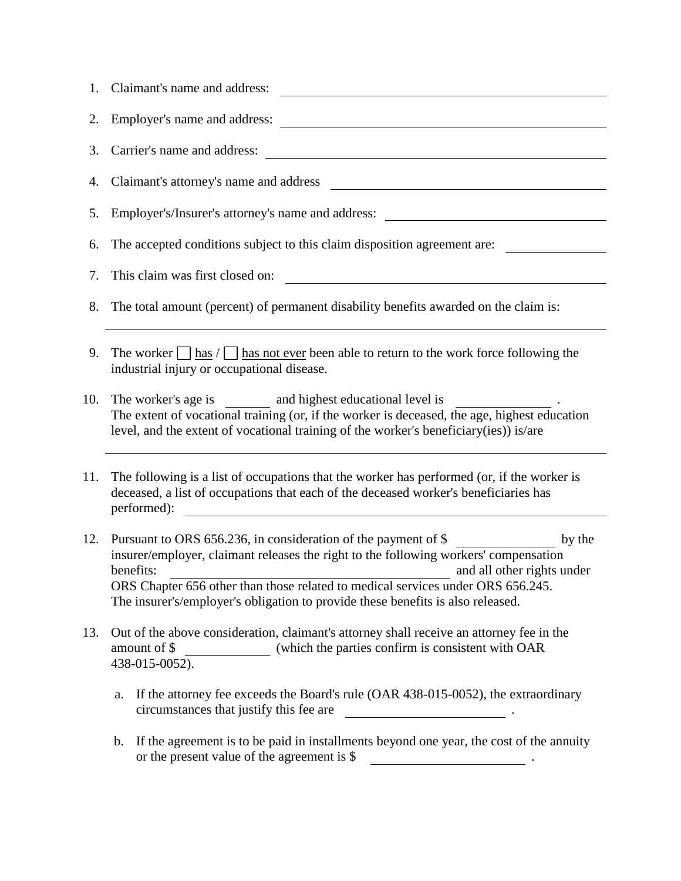|     | 1. Claimant's name and address:                                                                                                                                                                                                                                                                                                                                                   |
|-----|-----------------------------------------------------------------------------------------------------------------------------------------------------------------------------------------------------------------------------------------------------------------------------------------------------------------------------------------------------------------------------------|
| 2.  | Employer's name and address:<br><u> 1980 - John Stein, amerikansk politiker (* 1900)</u>                                                                                                                                                                                                                                                                                          |
| 3.  | Carrier's name and address:                                                                                                                                                                                                                                                                                                                                                       |
| 4.  | Claimant's attorney's name and address                                                                                                                                                                                                                                                                                                                                            |
| 5.  | Employer's/Insurer's attorney's name and address:                                                                                                                                                                                                                                                                                                                                 |
| 6.  | The accepted conditions subject to this claim disposition agreement are:                                                                                                                                                                                                                                                                                                          |
| 7.  | This claim was first closed on:<br><u> 1980 - Johann Stoff, fransk politik (d. 1980)</u>                                                                                                                                                                                                                                                                                          |
| 8.  | The total amount (percent) of permanent disability benefits awarded on the claim is:                                                                                                                                                                                                                                                                                              |
| 9.  | The worker $\vert$ has $\vert$ has not ever been able to return to the work force following the<br>industrial injury or occupational disease.                                                                                                                                                                                                                                     |
| 10. | The worker's age is _________ and highest educational level is<br>The extent of vocational training (or, if the worker is deceased, the age, highest education<br>level, and the extent of vocational training of the worker's beneficiary(ies)) is/are                                                                                                                           |
| 11. | The following is a list of occupations that the worker has performed (or, if the worker is<br>deceased, a list of occupations that each of the deceased worker's beneficiaries has<br>performed):                                                                                                                                                                                 |
| 12. | Pursuant to ORS 656.236, in consideration of the payment of \$<br>by the<br>insurer/employer, claimant releases the right to the following workers' compensation<br>benefits:<br>and all other rights under<br>ORS Chapter 656 other than those related to medical services under ORS 656.245.<br>The insurer's/employer's obligation to provide these benefits is also released. |
| 13. | Out of the above consideration, claimant's attorney shall receive an attorney fee in the<br>(which the parties confirm is consistent with OAR<br>amount of \$<br>438-015-0052).                                                                                                                                                                                                   |
|     | If the attorney fee exceeds the Board's rule (OAR 438-015-0052), the extraordinary<br>a.<br>circumstances that justify this fee are<br>$\overline{\phantom{a}}$ . The contract of the contract of $\overline{\phantom{a}}$ .                                                                                                                                                      |
|     | If the agreement is to be paid in installments beyond one year, the cost of the annuity<br>b.                                                                                                                                                                                                                                                                                     |

or the present value of the agreement is \$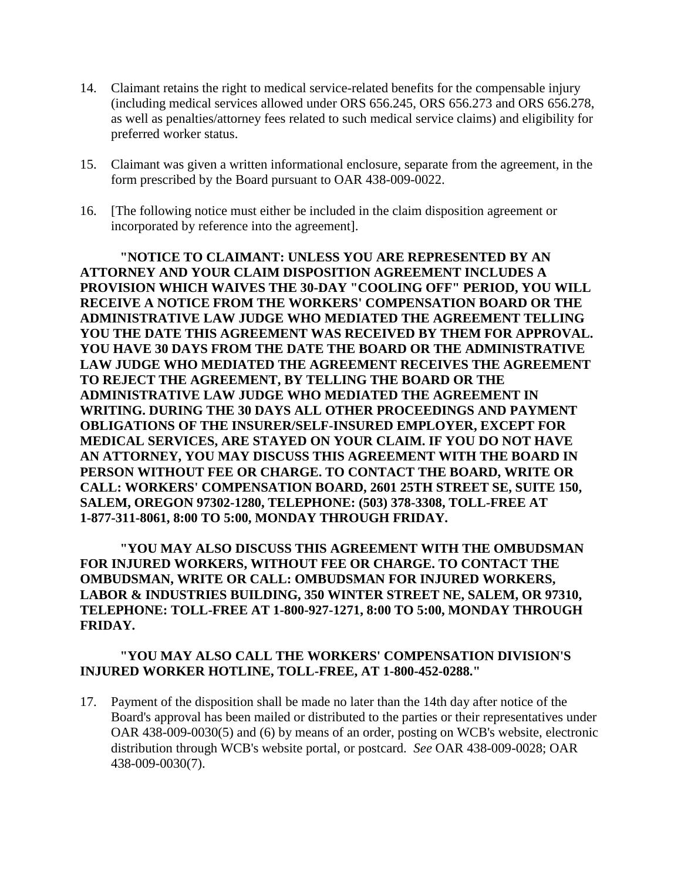- 14. Claimant retains the right to medical service-related benefits for the compensable injury (including medical services allowed under ORS 656.245, ORS 656.273 and ORS 656.278, as well as penalties/attorney fees related to such medical service claims) and eligibility for preferred worker status.
- 15. Claimant was given a written informational enclosure, separate from the agreement, in the form prescribed by the Board pursuant to OAR 438-009-0022.
- 16. [The following notice must either be included in the claim disposition agreement or incorporated by reference into the agreement].

**"NOTICE TO CLAIMANT: UNLESS YOU ARE REPRESENTED BY AN ATTORNEY AND YOUR CLAIM DISPOSITION AGREEMENT INCLUDES A PROVISION WHICH WAIVES THE 30-DAY "COOLING OFF" PERIOD, YOU WILL RECEIVE A NOTICE FROM THE WORKERS' COMPENSATION BOARD OR THE ADMINISTRATIVE LAW JUDGE WHO MEDIATED THE AGREEMENT TELLING YOU THE DATE THIS AGREEMENT WAS RECEIVED BY THEM FOR APPROVAL. YOU HAVE 30 DAYS FROM THE DATE THE BOARD OR THE ADMINISTRATIVE LAW JUDGE WHO MEDIATED THE AGREEMENT RECEIVES THE AGREEMENT TO REJECT THE AGREEMENT, BY TELLING THE BOARD OR THE ADMINISTRATIVE LAW JUDGE WHO MEDIATED THE AGREEMENT IN WRITING. DURING THE 30 DAYS ALL OTHER PROCEEDINGS AND PAYMENT OBLIGATIONS OF THE INSURER/SELF-INSURED EMPLOYER, EXCEPT FOR MEDICAL SERVICES, ARE STAYED ON YOUR CLAIM. IF YOU DO NOT HAVE AN ATTORNEY, YOU MAY DISCUSS THIS AGREEMENT WITH THE BOARD IN PERSON WITHOUT FEE OR CHARGE. TO CONTACT THE BOARD, WRITE OR CALL: WORKERS' COMPENSATION BOARD, 2601 25TH STREET SE, SUITE 150, SALEM, OREGON 97302-1280, TELEPHONE: (503) 378-3308, TOLL-FREE AT 1-877-311-8061, 8:00 TO 5:00, MONDAY THROUGH FRIDAY.**

**"YOU MAY ALSO DISCUSS THIS AGREEMENT WITH THE OMBUDSMAN FOR INJURED WORKERS, WITHOUT FEE OR CHARGE. TO CONTACT THE OMBUDSMAN, WRITE OR CALL: OMBUDSMAN FOR INJURED WORKERS, LABOR & INDUSTRIES BUILDING, 350 WINTER STREET NE, SALEM, OR 97310, TELEPHONE: TOLL-FREE AT 1-800-927-1271, 8:00 TO 5:00, MONDAY THROUGH FRIDAY.**

### **"YOU MAY ALSO CALL THE WORKERS' COMPENSATION DIVISION'S INJURED WORKER HOTLINE, TOLL-FREE, AT 1-800-452-0288."**

17. Payment of the disposition shall be made no later than the 14th day after notice of the Board's approval has been mailed or distributed to the parties or their representatives under OAR 438-009-0030(5) and (6) by means of an order, posting on WCB's website, electronic distribution through WCB's website portal, or postcard. *See* OAR 438-009-0028; OAR 438-009-0030(7).